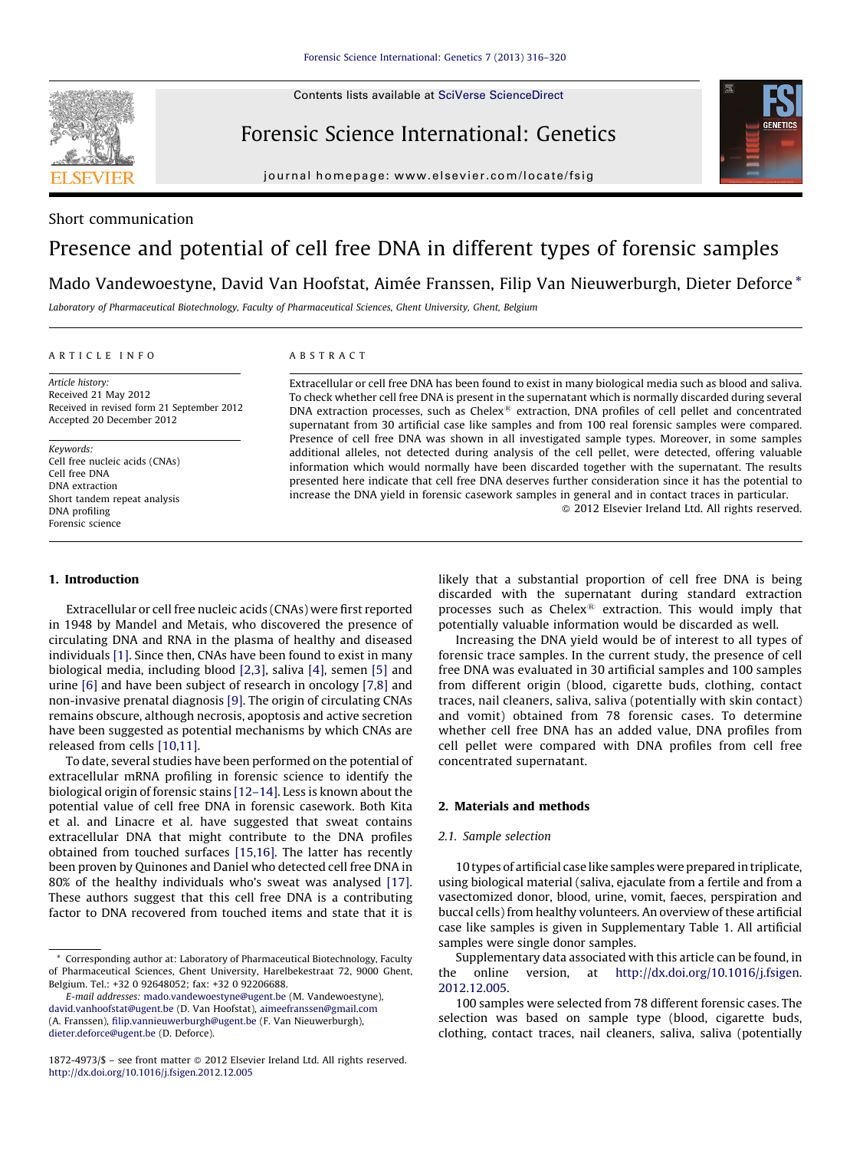Contents lists available at SciVerse [ScienceDirect](http://www.sciencedirect.com/science/journal/18724973)

**SEVIER** 

Forensic Science International: Genetics



journal homepage: www.elsevier.com/locate/fsig

Short communication

# Presence and potential of cell free DNA in different types of forensic samples

Mado Vandewoestyne, David Van Hoofstat, Aimée Franssen, Filip Van Nieuwerburgh, Dieter Deforce \*

Laboratory of Pharmaceutical Biotechnology, Faculty of Pharmaceutical Sciences, Ghent University, Ghent, Belgium

### A R T I C L E I N F O

Article history: Received 21 May 2012 Received in revised form 21 September 2012 Accepted 20 December 2012

Keywords: Cell free nucleic acids (CNAs) Cell free DNA DNA extraction Short tandem repeat analysis DNA profiling Forensic science

## 1. Introduction

Extracellular or cell free nucleic acids (CNAs) were first reported in 1948 by Mandel and Metais, who discovered the presence of circulating DNA and RNA in the plasma of healthy and diseased individuals [\[1\].](#page-3-0) Since then, CNAs have been found to exist in many biological media, including blood [\[2,3\]](#page-3-0), saliva [\[4\],](#page-3-0) semen [\[5\]](#page-3-0) and urine [\[6\]](#page-3-0) and have been subject of research in oncology [\[7,8\]](#page-3-0) and non-invasive prenatal diagnosis [\[9\].](#page-3-0) The origin of circulating CNAs remains obscure, although necrosis, apoptosis and active secretion have been suggested as potential mechanisms by which CNAs are released from cells [\[10,11\]](#page-3-0).

To date, several studies have been performed on the potential of extracellular mRNA profiling in forensic science to identify the biological origin of forensic stains [\[12–14\].](#page-3-0) Less is known about the potential value of cell free DNA in forensic casework. Both Kita et al. and Linacre et al. have suggested that sweat contains extracellular DNA that might contribute to the DNA profiles obtained from touched surfaces [\[15,16\].](#page-3-0) The latter has recently been proven by Quinones and Daniel who detected cell free DNA in 80% of the healthy individuals who's sweat was analysed [\[17\].](#page-3-0) These authors suggest that this cell free DNA is a contributing factor to DNA recovered from touched items and state that it is

# A B S T R A C T

Extracellular or cell free DNA has been found to exist in many biological media such as blood and saliva. To check whether cell free DNA is present in the supernatant which is normally discarded during several DNA extraction processes, such as  $Chelex^{\circledR}$  extraction. DNA profiles of cell pellet and concentrated supernatant from 30 artificial case like samples and from 100 real forensic samples were compared. Presence of cell free DNA was shown in all investigated sample types. Moreover, in some samples additional alleles, not detected during analysis of the cell pellet, were detected, offering valuable information which would normally have been discarded together with the supernatant. The results presented here indicate that cell free DNA deserves further consideration since it has the potential to increase the DNA yield in forensic casework samples in general and in contact traces in particular. - 2012 Elsevier Ireland Ltd. All rights reserved.

> likely that a substantial proportion of cell free DNA is being discarded with the supernatant during standard extraction processes such as  $Chelex^{\circledR}$  extraction. This would imply that potentially valuable information would be discarded as well.

> Increasing the DNA yield would be of interest to all types of forensic trace samples. In the current study, the presence of cell free DNA was evaluated in 30 artificial samples and 100 samples from different origin (blood, cigarette buds, clothing, contact traces, nail cleaners, saliva, saliva (potentially with skin contact) and vomit) obtained from 78 forensic cases. To determine whether cell free DNA has an added value, DNA profiles from cell pellet were compared with DNA profiles from cell free concentrated supernatant.

## 2. Materials and methods

#### 2.1. Sample selection

10 types of artificial case like samples were prepared in triplicate, using biological material (saliva, ejaculate from a fertile and from a vasectomized donor, blood, urine, vomit, faeces, perspiration and buccal cells) from healthy volunteers. An overview of these artificial case like samples is given in Supplementary Table 1. All artificial samples were single donor samples.

Supplementary data associated with this article can be found, in the online version, at [http://dx.doi.org/10.1016/j.fsigen.](http://dx.doi.org/10.1016/j.fsigen.2012.12.005) [2012.12.005.](http://dx.doi.org/10.1016/j.fsigen.2012.12.005)

<sup>\*</sup> Corresponding author at: Laboratory of Pharmaceutical Biotechnology, Faculty of Pharmaceutical Sciences, Ghent University, Harelbekestraat 72, 9000 Ghent, Belgium. Tel.: +32 0 92648052; fax: +32 0 92206688.

E-mail addresses: [mado.vandewoestyne@ugent.be](mailto:mado.vandewoestyne@ugent.be) (M. Vandewoestyne), [david.vanhoofstat@ugent.be](mailto:david.vanhoofstat@ugent.be) (D. Van Hoofstat), [aimeefranssen@gmail.com](mailto:aimeefranssen@gmail.com) (A. Franssen), [filip.vannieuwerburgh@ugent.be](mailto:filip.vannieuwerburgh@ugent.be) (F. Van Nieuwerburgh), [dieter.deforce@ugent.be](mailto:dieter.deforce@ugent.be) (D. Deforce).

 $1872-4973/\$  – see front matter  $\odot$  2012 Elsevier Ireland Ltd. All rights reserved. <http://dx.doi.org/10.1016/j.fsigen.2012.12.005>

<sup>100</sup> samples were selected from 78 different forensic cases. The selection was based on sample type (blood, cigarette buds, clothing, contact traces, nail cleaners, saliva, saliva (potentially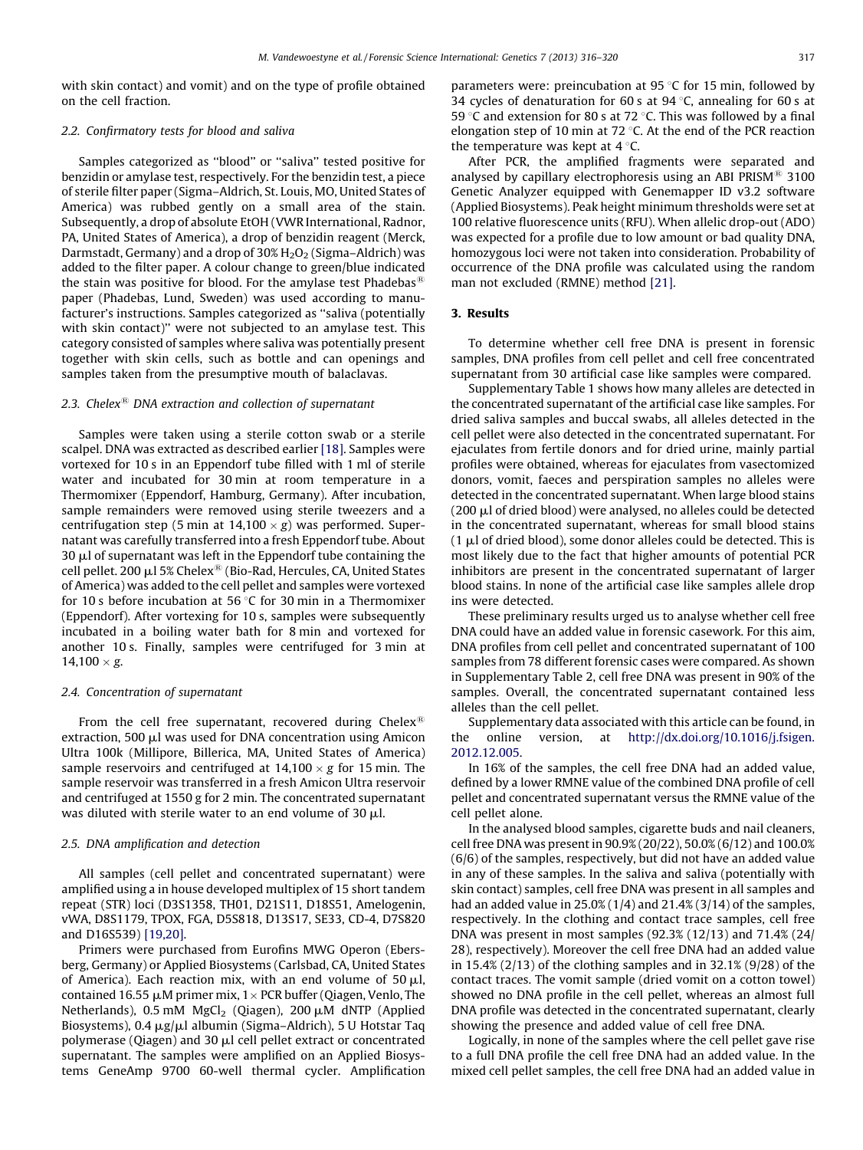with skin contact) and vomit) and on the type of profile obtained on the cell fraction.

## 2.2. Confirmatory tests for blood and saliva

Samples categorized as ''blood'' or ''saliva'' tested positive for benzidin or amylase test, respectively. For the benzidin test, a piece of sterile filter paper (Sigma–Aldrich, St. Louis, MO, United States of America) was rubbed gently on a small area of the stain. Subsequently, a drop of absolute EtOH (VWR International, Radnor, PA, United States of America), a drop of benzidin reagent (Merck, Darmstadt, Germany) and a drop of  $30\%$  H<sub>2</sub>O<sub>2</sub> (Sigma–Aldrich) was added to the filter paper. A colour change to green/blue indicated the stain was positive for blood. For the amylase test Phadebas<sup>®</sup> paper (Phadebas, Lund, Sweden) was used according to manufacturer's instructions. Samples categorized as ''saliva (potentially with skin contact)'' were not subjected to an amylase test. This category consisted of samples where saliva was potentially present together with skin cells, such as bottle and can openings and samples taken from the presumptive mouth of balaclavas.

# 2.3. Chelex $^{\circledR}$  DNA extraction and collection of supernatant

Samples were taken using a sterile cotton swab or a sterile scalpel. DNA was extracted as described earlier [\[18\]](#page-3-0). Samples were vortexed for 10 s in an Eppendorf tube filled with 1 ml of sterile water and incubated for 30 min at room temperature in a Thermomixer (Eppendorf, Hamburg, Germany). After incubation, sample remainders were removed using sterile tweezers and a centrifugation step (5 min at 14,100  $\times$  g) was performed. Supernatant was carefully transferred into a fresh Eppendorf tube. About  $30 \mu$  of supernatant was left in the Eppendorf tube containing the cell pellet. 200  $\mu$ l 5% Chelex<sup>®</sup> (Bio-Rad, Hercules, CA, United States of America) was added to the cell pellet and samples were vortexed for 10 s before incubation at 56  $\degree$ C for 30 min in a Thermomixer (Eppendorf). After vortexing for 10 s, samples were subsequently incubated in a boiling water bath for 8 min and vortexed for another 10 s. Finally, samples were centrifuged for 3 min at  $14,100 \times g$ .

#### 2.4. Concentration of supernatant

From the cell free supernatant, recovered during Chelex<sup>®</sup> extraction, 500  $\mu$ l was used for DNA concentration using Amicon Ultra 100k (Millipore, Billerica, MA, United States of America) sample reservoirs and centrifuged at 14,100  $\times$  g for 15 min. The sample reservoir was transferred in a fresh Amicon Ultra reservoir and centrifuged at 1550 g for 2 min. The concentrated supernatant was diluted with sterile water to an end volume of 30  $\mu$ l.

### 2.5. DNA amplification and detection

All samples (cell pellet and concentrated supernatant) were amplified using a in house developed multiplex of 15 short tandem repeat (STR) loci (D3S1358, TH01, D21S11, D18S51, Amelogenin, vWA, D8S1179, TPOX, FGA, D5S818, D13S17, SE33, CD-4, D7S820 and D16S539) [\[19,20\].](#page-4-0)

Primers were purchased from Eurofins MWG Operon (Ebersberg, Germany) or Applied Biosystems (Carlsbad, CA, United States of America). Each reaction mix, with an end volume of 50  $\mu$ l, contained 16.55  $\mu$ M primer mix, 1  $\times$  PCR buffer (Qiagen, Venlo, The Netherlands), 0.5 mM  $MgCl<sub>2</sub>$  (Qiagen), 200  $\mu$ M dNTP (Applied Biosystems), 0.4  $\mu$ g/ $\mu$ l albumin (Sigma–Aldrich), 5 U Hotstar Taq polymerase (Qiagen) and 30  $\mu$ l cell pellet extract or concentrated supernatant. The samples were amplified on an Applied Biosystems GeneAmp 9700 60-well thermal cycler. Amplification parameters were: preincubation at 95 °C for 15 min, followed by 34 cycles of denaturation for 60 s at  $94^{\circ}$ C, annealing for 60 s at 59 °C and extension for 80 s at 72 °C. This was followed by a final elongation step of 10 min at 72  $\degree$ C. At the end of the PCR reaction the temperature was kept at  $4^{\circ}$ C.

After PCR, the amplified fragments were separated and analysed by capillary electrophoresis using an ABI PRISM<sup>®</sup> 3100 Genetic Analyzer equipped with Genemapper ID v3.2 software (Applied Biosystems). Peak height minimum thresholds were set at 100 relative fluorescence units (RFU). When allelic drop-out (ADO) was expected for a profile due to low amount or bad quality DNA, homozygous loci were not taken into consideration. Probability of occurrence of the DNA profile was calculated using the random man not excluded (RMNE) method [\[21\].](#page-4-0)

#### 3. Results

To determine whether cell free DNA is present in forensic samples, DNA profiles from cell pellet and cell free concentrated supernatant from 30 artificial case like samples were compared.

Supplementary Table 1 shows how many alleles are detected in the concentrated supernatant of the artificial case like samples. For dried saliva samples and buccal swabs, all alleles detected in the cell pellet were also detected in the concentrated supernatant. For ejaculates from fertile donors and for dried urine, mainly partial profiles were obtained, whereas for ejaculates from vasectomized donors, vomit, faeces and perspiration samples no alleles were detected in the concentrated supernatant. When large blood stains  $(200 \mu)$  of dried blood) were analysed, no alleles could be detected in the concentrated supernatant, whereas for small blood stains  $(1 \mu)$  of dried blood), some donor alleles could be detected. This is most likely due to the fact that higher amounts of potential PCR inhibitors are present in the concentrated supernatant of larger blood stains. In none of the artificial case like samples allele drop ins were detected.

These preliminary results urged us to analyse whether cell free DNA could have an added value in forensic casework. For this aim, DNA profiles from cell pellet and concentrated supernatant of 100 samples from 78 different forensic cases were compared. As shown in Supplementary Table 2, cell free DNA was present in 90% of the samples. Overall, the concentrated supernatant contained less alleles than the cell pellet.

Supplementary data associated with this article can be found, in the online version, at [http://dx.doi.org/10.1016/j.fsigen.](http://dx.doi.org/10.1016/j.fsigen.2012.12.005) [2012.12.005.](http://dx.doi.org/10.1016/j.fsigen.2012.12.005)

In 16% of the samples, the cell free DNA had an added value, defined by a lower RMNE value of the combined DNA profile of cell pellet and concentrated supernatant versus the RMNE value of the cell pellet alone.

In the analysed blood samples, cigarette buds and nail cleaners, cell free DNA was presentin 90.9% (20/22), 50.0% (6/12) and 100.0% (6/6) of the samples, respectively, but did not have an added value in any of these samples. In the saliva and saliva (potentially with skin contact) samples, cell free DNA was present in all samples and had an added value in 25.0% (1/4) and 21.4% (3/14) of the samples, respectively. In the clothing and contact trace samples, cell free DNA was present in most samples (92.3% (12/13) and 71.4% (24/ 28), respectively). Moreover the cell free DNA had an added value in 15.4% (2/13) of the clothing samples and in 32.1% (9/28) of the contact traces. The vomit sample (dried vomit on a cotton towel) showed no DNA profile in the cell pellet, whereas an almost full DNA profile was detected in the concentrated supernatant, clearly showing the presence and added value of cell free DNA.

Logically, in none of the samples where the cell pellet gave rise to a full DNA profile the cell free DNA had an added value. In the mixed cell pellet samples, the cell free DNA had an added value in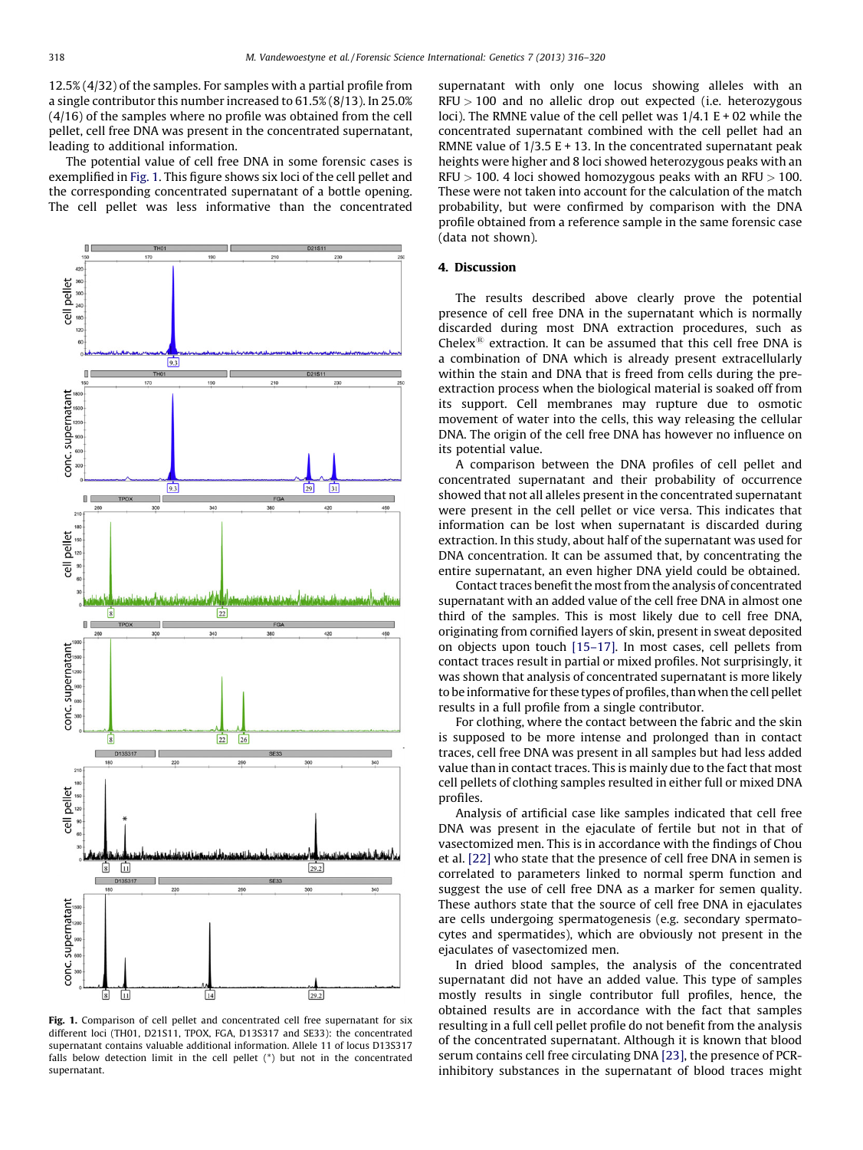<span id="page-2-0"></span>12.5% (4/32) of the samples. For samples with a partial profile from a single contributor this number increased to 61.5% (8/13). In 25.0% (4/16) of the samples where no profile was obtained from the cell pellet, cell free DNA was present in the concentrated supernatant, leading to additional information.

The potential value of cell free DNA in some forensic cases is exemplified in Fig. 1. This figure shows six loci of the cell pellet and the corresponding concentrated supernatant of a bottle opening. The cell pellet was less informative than the concentrated



Fig. 1. Comparison of cell pellet and concentrated cell free supernatant for six different loci (TH01, D21S11, TPOX, FGA, D13S317 and SE33): the concentrated supernatant contains valuable additional information. Allele 11 of locus D13S317 falls below detection limit in the cell pellet (\*) but not in the concentrated supernatant.

supernatant with only one locus showing alleles with an  $RFU > 100$  and no allelic drop out expected (i.e. heterozygous loci). The RMNE value of the cell pellet was  $1/4.1$  E + 02 while the concentrated supernatant combined with the cell pellet had an RMNE value of  $1/3.5$  E + 13. In the concentrated supernatant peak heights were higher and 8 loci showed heterozygous peaks with an  $RFU > 100$ . 4 loci showed homozygous peaks with an RFU  $> 100$ . These were not taken into account for the calculation of the match probability, but were confirmed by comparison with the DNA profile obtained from a reference sample in the same forensic case (data not shown).

#### 4. Discussion

The results described above clearly prove the potential presence of cell free DNA in the supernatant which is normally discarded during most DNA extraction procedures, such as Chelex $\mathbb B$  extraction. It can be assumed that this cell free DNA is a combination of DNA which is already present extracellularly within the stain and DNA that is freed from cells during the preextraction process when the biological material is soaked off from its support. Cell membranes may rupture due to osmotic movement of water into the cells, this way releasing the cellular DNA. The origin of the cell free DNA has however no influence on its potential value.

A comparison between the DNA profiles of cell pellet and concentrated supernatant and their probability of occurrence showed that not all alleles present in the concentrated supernatant were present in the cell pellet or vice versa. This indicates that information can be lost when supernatant is discarded during extraction. In this study, about half of the supernatant was used for DNA concentration. It can be assumed that, by concentrating the entire supernatant, an even higher DNA yield could be obtained.

Contact traces benefit the most from the analysis of concentrated supernatant with an added value of the cell free DNA in almost one third of the samples. This is most likely due to cell free DNA, originating from cornified layers of skin, present in sweat deposited on objects upon touch [\[15–17\].](#page-3-0) In most cases, cell pellets from contact traces result in partial or mixed profiles. Not surprisingly, it was shown that analysis of concentrated supernatant is more likely to be informative for these types of profiles, than when the cell pellet results in a full profile from a single contributor.

For clothing, where the contact between the fabric and the skin is supposed to be more intense and prolonged than in contact traces, cell free DNA was present in all samples but had less added value than in contact traces. This is mainly due to the fact that most cell pellets of clothing samples resulted in either full or mixed DNA profiles.

Analysis of artificial case like samples indicated that cell free DNA was present in the ejaculate of fertile but not in that of vasectomized men. This is in accordance with the findings of Chou et al. [\[22\]](#page-4-0) who state that the presence of cell free DNA in semen is correlated to parameters linked to normal sperm function and suggest the use of cell free DNA as a marker for semen quality. These authors state that the source of cell free DNA in ejaculates are cells undergoing spermatogenesis (e.g. secondary spermatocytes and spermatides), which are obviously not present in the ejaculates of vasectomized men.

In dried blood samples, the analysis of the concentrated supernatant did not have an added value. This type of samples mostly results in single contributor full profiles, hence, the obtained results are in accordance with the fact that samples resulting in a full cell pellet profile do not benefit from the analysis of the concentrated supernatant. Although it is known that blood serum contains cell free circulating DNA [\[23\]](#page-4-0), the presence of PCRinhibitory substances in the supernatant of blood traces might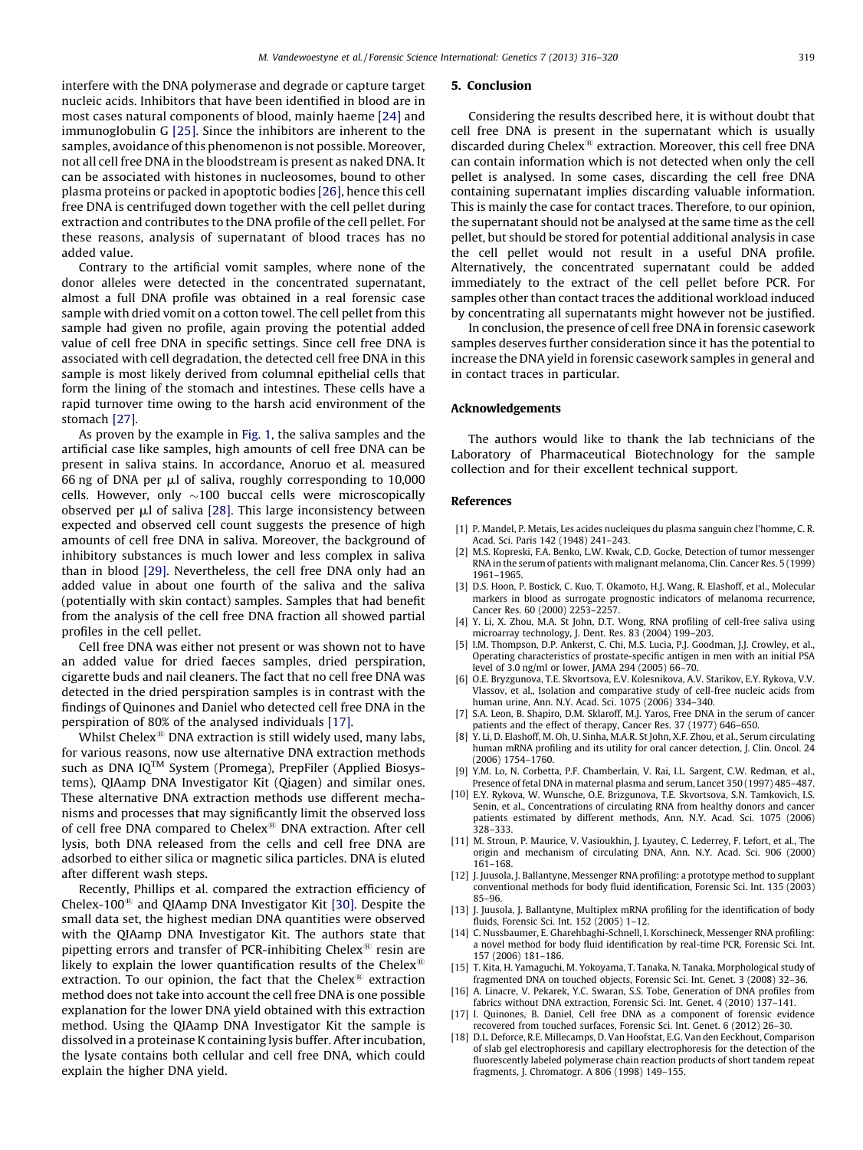<span id="page-3-0"></span>interfere with the DNA polymerase and degrade or capture target nucleic acids. Inhibitors that have been identified in blood are in most cases natural components of blood, mainly haeme [\[24\]](#page-4-0) and immunoglobulin G [\[25\]](#page-4-0). Since the inhibitors are inherent to the samples, avoidance ofthis phenomenon is not possible. Moreover, not all cell free DNA in the bloodstream is present as naked DNA. It can be associated with histones in nucleosomes, bound to other plasma proteins or packed in apoptotic bodies [\[26\],](#page-4-0) hence this cell free DNA is centrifuged down together with the cell pellet during extraction and contributes to the DNA profile of the cell pellet. For these reasons, analysis of supernatant of blood traces has no added value.

Contrary to the artificial vomit samples, where none of the donor alleles were detected in the concentrated supernatant, almost a full DNA profile was obtained in a real forensic case sample with dried vomit on a cotton towel. The cell pellet from this sample had given no profile, again proving the potential added value of cell free DNA in specific settings. Since cell free DNA is associated with cell degradation, the detected cell free DNA in this sample is most likely derived from columnal epithelial cells that form the lining of the stomach and intestines. These cells have a rapid turnover time owing to the harsh acid environment of the stomach [\[27\]](#page-4-0).

As proven by the example in [Fig.](#page-2-0) 1, the saliva samples and the artificial case like samples, high amounts of cell free DNA can be present in saliva stains. In accordance, Anoruo et al. measured 66 ng of DNA per  $\mu$ l of saliva, roughly corresponding to 10,000 cells. However, only  $\sim$ 100 buccal cells were microscopically observed per  $\mu$ l of saliva [\[28\]](#page-4-0). This large inconsistency between expected and observed cell count suggests the presence of high amounts of cell free DNA in saliva. Moreover, the background of inhibitory substances is much lower and less complex in saliva than in blood [\[29\].](#page-4-0) Nevertheless, the cell free DNA only had an added value in about one fourth of the saliva and the saliva (potentially with skin contact) samples. Samples that had benefit from the analysis of the cell free DNA fraction all showed partial profiles in the cell pellet.

Cell free DNA was either not present or was shown not to have an added value for dried faeces samples, dried perspiration, cigarette buds and nail cleaners. The fact that no cell free DNA was detected in the dried perspiration samples is in contrast with the findings of Quinones and Daniel who detected cell free DNA in the perspiration of 80% of the analysed individuals [17].

Whilst Chelex ${}^{\circledR}$  DNA extraction is still widely used, many labs, for various reasons, now use alternative DNA extraction methods such as DNA IQ<sup>TM</sup> System (Promega), PrepFiler (Applied Biosystems), QIAamp DNA Investigator Kit (Qiagen) and similar ones. These alternative DNA extraction methods use different mechanisms and processes that may significantly limit the observed loss of cell free DNA compared to Chelex<sup>®</sup> DNA extraction. After cell lysis, both DNA released from the cells and cell free DNA are adsorbed to either silica or magnetic silica particles. DNA is eluted after different wash steps.

Recently, Phillips et al. compared the extraction efficiency of Chelex-100 $\textcircled{B}$  and QIAamp DNA Investigator Kit [\[30\].](#page-4-0) Despite the small data set, the highest median DNA quantities were observed with the QIAamp DNA Investigator Kit. The authors state that pipetting errors and transfer of PCR-inhibiting Chelex<sup>®</sup> resin are likely to explain the lower quantification results of the Chelex<sup>®</sup> extraction. To our opinion, the fact that the Chelex $\mathbb B$  extraction method does not take into account the cell free DNA is one possible explanation for the lower DNA yield obtained with this extraction method. Using the QIAamp DNA Investigator Kit the sample is dissolved in a proteinase K containing lysis buffer. After incubation, the lysate contains both cellular and cell free DNA, which could explain the higher DNA yield.

#### 5. Conclusion

Considering the results described here, it is without doubt that cell free DNA is present in the supernatant which is usually discarded during Chelex<sup>®</sup> extraction. Moreover, this cell free DNA can contain information which is not detected when only the cell pellet is analysed. In some cases, discarding the cell free DNA containing supernatant implies discarding valuable information. This is mainly the case for contact traces. Therefore, to our opinion, the supernatant should not be analysed at the same time as the cell pellet, but should be stored for potential additional analysis in case the cell pellet would not result in a useful DNA profile. Alternatively, the concentrated supernatant could be added immediately to the extract of the cell pellet before PCR. For samples other than contact traces the additional workload induced by concentrating all supernatants might however not be justified.

In conclusion, the presence of cell free DNA in forensic casework samples deserves further consideration since it has the potential to increase the DNA yield in forensic casework samples in general and in contact traces in particular.

#### Acknowledgements

The authors would like to thank the lab technicians of the Laboratory of Pharmaceutical Biotechnology for the sample collection and for their excellent technical support.

#### References

- [1] P. Mandel, P. Metais, Les acides nucleiques du plasma sanguin chez l'homme, C. R. Acad. Sci. Paris 142 (1948) 241–243.
- [2] M.S. Kopreski, F.A. Benko, L.W. Kwak, C.D. Gocke, Detection of tumor messenger RNA in the serum of patients with malignant melanoma, Clin. Cancer Res. 5 (1999) 1961–1965.
- [3] D.S. Hoon, P. Bostick, C. Kuo, T. Okamoto, H.J. Wang, R. Elashoff, et al., Molecular markers in blood as surrogate prognostic indicators of melanoma recurrence, Cancer Res. 60 (2000) 2253–2257.
- [4] Y. Li, X. Zhou, M.A. St John, D.T. Wong, RNA profiling of cell-free saliva using microarray technology, J. Dent. Res. 83 (2004) 199–203.
- [5] I.M. Thompson, D.P. Ankerst, C. Chi, M.S. Lucia, P.J. Goodman, J.J. Crowley, et al., Operating characteristics of prostate-specific antigen in men with an initial PSA level of 3.0 ng/ml or lower, JAMA 294 (2005) 66–70.
- [6] O.E. Bryzgunova, T.E. Skvortsova, E.V. Kolesnikova, A.V. Starikov, E.Y. Rykova, V.V. Vlassov, et al., Isolation and comparative study of cell-free nucleic acids from human urine, Ann. N.Y. Acad. Sci. 1075 (2006) 334–340.
- [7] S.A. Leon, B. Shapiro, D.M. Sklaroff, M.J. Yaros, Free DNA in the serum of cancer patients and the effect of therapy, Cancer Res. 37 (1977) 646–650.
- [8] Y. Li, D. Elashoff, M. Oh, U. Sinha, M.A.R. St John, X.F. Zhou, et al., Serum circulating human mRNA profiling and its utility for oral cancer detection, J. Clin. Oncol. 24 (2006) 1754–1760.
- [9] Y.M. Lo, N. Corbetta, P.F. Chamberlain, V. Rai, I.L. Sargent, C.W. Redman, et al., Presence of fetal DNA in maternal plasma and serum, Lancet 350 (1997) 485–487.
- [10] E.Y. Rykova, W. Wunsche, O.E. Brizgunova, T.E. Skvortsova, S.N. Tamkovich, I.S. Senin, et al., Concentrations of circulating RNA from healthy donors and cancer patients estimated by different methods, Ann. N.Y. Acad. Sci. 1075 (2006) 328–333.
- [11] M. Stroun, P. Maurice, V. Vasioukhin, J. Lyautey, C. Lederrey, F. Lefort, et al., The origin and mechanism of circulating DNA, Ann. N.Y. Acad. Sci. 906 (2000) 161–168.
- [12] J. Juusola, J. Ballantyne, Messenger RNA profiling: a prototype method to supplant conventional methods for body fluid identification, Forensic Sci. Int. 135 (2003) 85–96.
- [13] J. Juusola, J. Ballantyne, Multiplex mRNA profiling for the identification of body fluids, Forensic Sci. Int. 152 (2005) 1–12.
- [14] C. Nussbaumer, E. Gharehbaghi-Schnell, I. Korschineck, Messenger RNA profiling: a novel method for body fluid identification by real-time PCR, Forensic Sci. Int. 157 (2006) 181–186.
- [15] T. Kita, H. Yamaguchi, M. Yokoyama, T. Tanaka, N. Tanaka, Morphological study of fragmented DNA on touched objects, Forensic Sci. Int. Genet. 3 (2008) 32–36.
- [16] A. Linacre, V. Pekarek, Y.C. Swaran, S.S. Tobe, Generation of DNA profiles from fabrics without DNA extraction, Forensic Sci. Int. Genet. 4 (2010) 137–141.
- [17] I. Quinones, B. Daniel, Cell free DNA as a component of forensic evidence recovered from touched surfaces, Forensic Sci. Int. Genet. 6 (2012) 26–30.
- [18] D.L. Deforce, R.E. Millecamps, D. Van Hoofstat, E.G. Van den Eeckhout, Comparison of slab gel electrophoresis and capillary electrophoresis for the detection of the fluorescently labeled polymerase chain reaction products of short tandem repeat fragments, J. Chromatogr. A 806 (1998) 149–155.